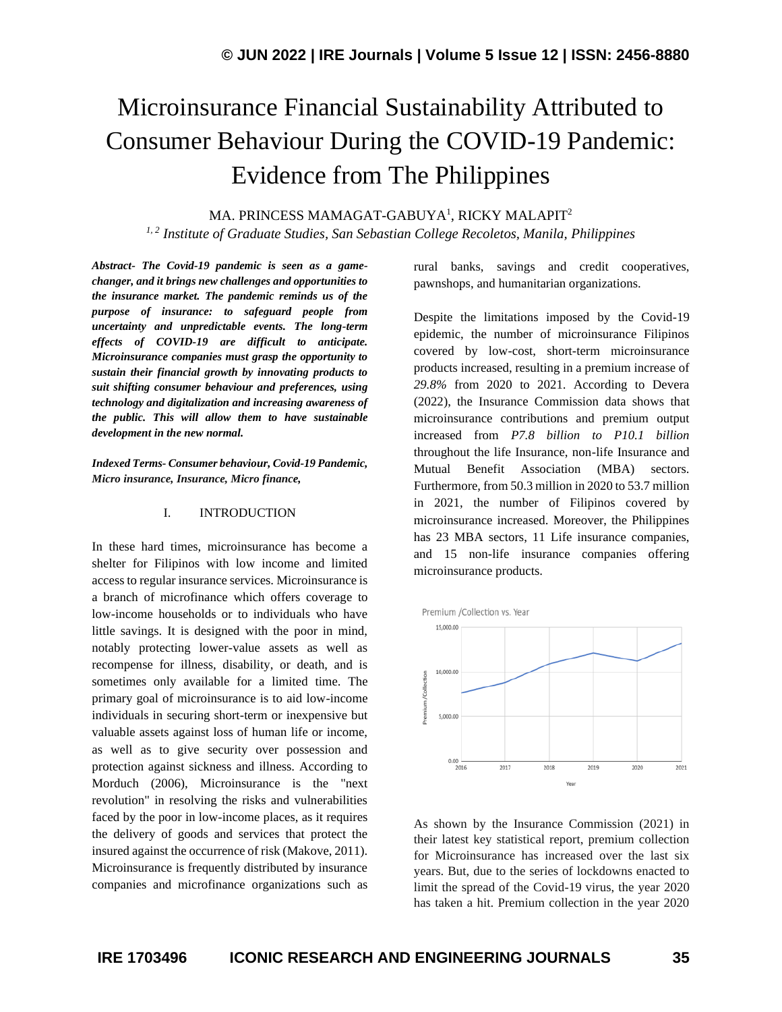# Microinsurance Financial Sustainability Attributed to Consumer Behaviour During the COVID-19 Pandemic: Evidence from The Philippines

MA. PRINCESS MAMAGAT-GABUYA<sup>1</sup>, RICKY MALAPIT<sup>2</sup>

*1, 2 Institute of Graduate Studies, San Sebastian College Recoletos, Manila, Philippines*

*Abstract- The Covid-19 pandemic is seen as a gamechanger, and it brings new challenges and opportunities to the insurance market. The pandemic reminds us of the purpose of insurance: to safeguard people from uncertainty and unpredictable events. The long-term effects of COVID-19 are difficult to anticipate. Microinsurance companies must grasp the opportunity to sustain their financial growth by innovating products to suit shifting consumer behaviour and preferences, using technology and digitalization and increasing awareness of the public. This will allow them to have sustainable development in the new normal.*

*Indexed Terms- Consumer behaviour, Covid-19 Pandemic, Micro insurance, Insurance, Micro finance,*

## I. INTRODUCTION

In these hard times, microinsurance has become a shelter for Filipinos with low income and limited access to regular insurance services. Microinsurance is a branch of [microfinance](https://www.investopedia.com/terms/m/microfinance.asp) which offers coverage to low-income households or to individuals who have little savings. It is designed with the poor in mind, notably protecting lower-value assets as well as recompense for illness, disability, or death, and is sometimes only available for a limited time. The primary goal of microinsurance is to aid low-income individuals in securing short-term or inexpensive but valuable assets against loss of human life or income, as well as to give security over possession and protection against sickness and illness. According to Morduch (2006), Microinsurance is the "next revolution" in resolving the risks and vulnerabilities faced by the poor in low-income places, as it requires the delivery of goods and services that protect the insured against the occurrence of risk (Makove, 2011). Microinsurance is frequently distributed by insurance companies and microfinance organizations such as rural banks, savings and credit cooperatives, pawnshops, and humanitarian organizations.

Despite the limitations imposed by the Covid-19 epidemic, the number of microinsurance Filipinos covered by low-cost, short-term microinsurance products increased, resulting in a premium increase of *29.8%* from 2020 to 2021. According to Devera (2022), the Insurance Commission data shows that microinsurance contributions and premium output increased from *P7.8 billion to P10.1 billion* throughout the life Insurance, non-life Insurance and Mutual Benefit Association (MBA) sectors. Furthermore, from 50.3 million in 2020 to 53.7 million in 2021, the number of Filipinos covered by microinsurance increased. Moreover, the Philippines has 23 MBA sectors, 11 Life insurance companies, and 15 non-life insurance companies offering microinsurance products.



As shown by the Insurance Commission (2021) in their latest key statistical report, premium collection for Microinsurance has increased over the last six years. But, due to the series of lockdowns enacted to limit the spread of the Covid-19 virus, the year 2020 has taken a hit. Premium collection in the year 2020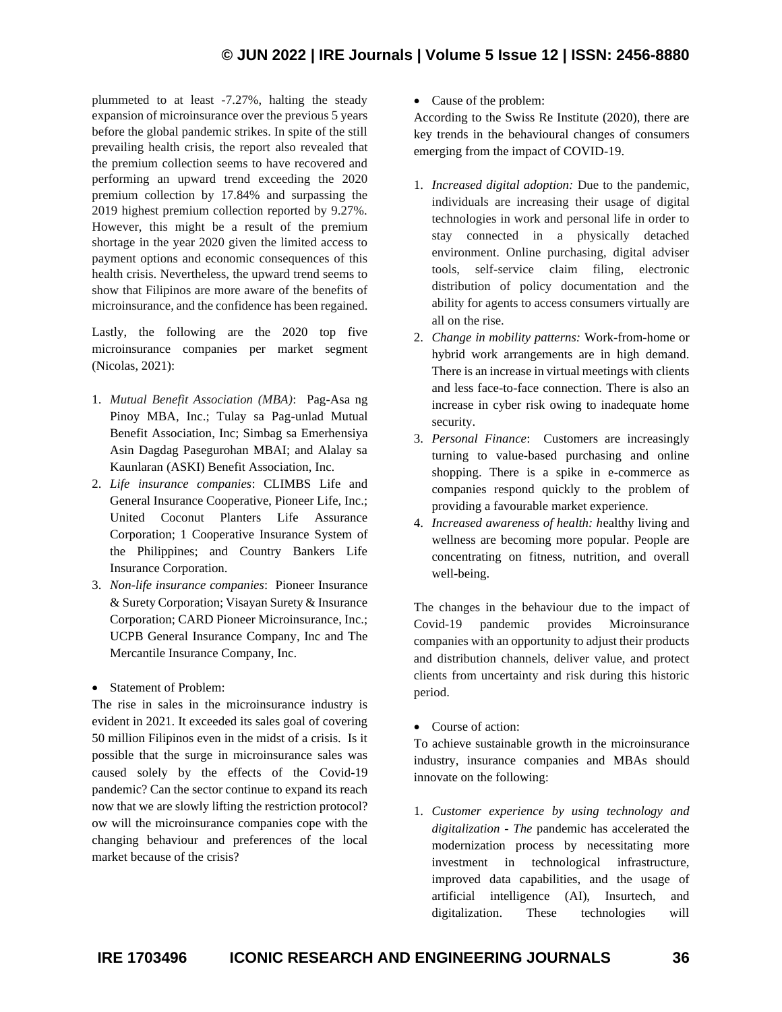plummeted to at least -7.27%, halting the steady expansion of microinsurance over the previous 5 years before the global pandemic strikes. In spite of the still prevailing health crisis, the report also revealed that the premium collection seems to have recovered and performing an upward trend exceeding the 2020 premium collection by 17.84% and surpassing the 2019 highest premium collection reported by 9.27%. However, this might be a result of the premium shortage in the year 2020 given the limited access to payment options and economic consequences of this health crisis. Nevertheless, the upward trend seems to show that Filipinos are more aware of the benefits of microinsurance, and the confidence has been regained.

Lastly, the following are the 2020 top five microinsurance companies per market segment (Nicolas, 2021):

- 1. *Mutual Benefit Association (MBA)*: Pag-Asa ng Pinoy MBA, Inc.; Tulay sa Pag-unlad Mutual Benefit Association, Inc; Simbag sa Emerhensiya Asin Dagdag Pasegurohan MBAI; and Alalay sa Kaunlaran (ASKI) Benefit Association, Inc.
- 2. *Life insurance companies*: CLIMBS Life and General Insurance Cooperative, Pioneer Life, Inc.; United Coconut Planters Life Assurance Corporation; 1 Cooperative Insurance System of the Philippines; and Country Bankers Life Insurance Corporation.
- 3. *Non-life insurance companies*: Pioneer Insurance & Surety Corporation; Visayan Surety & Insurance Corporation; CARD Pioneer Microinsurance, Inc.; UCPB General Insurance Company, Inc and The Mercantile Insurance Company, Inc.
- Statement of Problem:

The rise in sales in the microinsurance industry is evident in 2021. It exceeded its sales goal of covering 50 million Filipinos even in the midst of a crisis. Is it possible that the surge in microinsurance sales was caused solely by the effects of the Covid-19 pandemic? Can the sector continue to expand its reach now that we are slowly lifting the restriction protocol? ow will the microinsurance companies cope with the changing behaviour and preferences of the local market because of the crisis?

• Cause of the problem:

According to the Swiss Re Institute (2020), there are key trends in the behavioural changes of consumers emerging from the impact of COVID-19.

- 1. *Increased digital adoption:* Due to the pandemic, individuals are increasing their usage of digital technologies in work and personal life in order to stay connected in a physically detached environment. Online purchasing, digital adviser tools, self-service claim filing, electronic distribution of policy documentation and the ability for agents to access consumers virtually are all on the rise.
- 2. *Change in mobility patterns:* Work-from-home or hybrid work arrangements are in high demand. There is an increase in virtual meetings with clients and less face-to-face connection. There is also an increase in cyber risk owing to inadequate home security.
- 3. *Personal Finance*: Customers are increasingly turning to value-based purchasing and online shopping. There is a spike in e-commerce as companies respond quickly to the problem of providing a favourable market experience.
- 4. *Increased awareness of health: h*ealthy living and wellness are becoming more popular. People are concentrating on fitness, nutrition, and overall well-being.

The changes in the behaviour due to the impact of Covid-19 pandemic provides Microinsurance companies with an opportunity to adjust their products and distribution channels, deliver value, and protect clients from uncertainty and risk during this historic period.

• Course of action:

To achieve sustainable growth in the microinsurance industry, insurance companies and MBAs should innovate on the following:

1. *Customer experience by using technology and digitalization - The* pandemic has accelerated the modernization process by necessitating more investment in technological infrastructure, improved data capabilities, and the usage of artificial intelligence (AI), Insurtech, and digitalization. These technologies will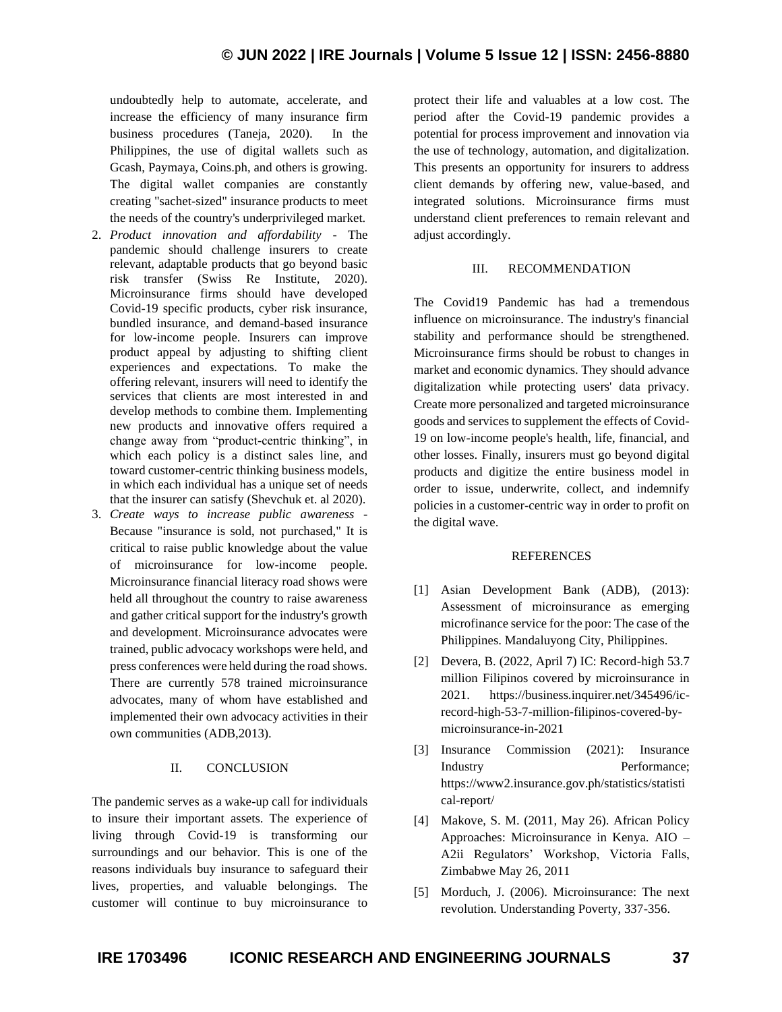undoubtedly help to automate, accelerate, and increase the efficiency of many insurance firm business procedures (Taneja, 2020). In the Philippines, the use of digital wallets such as Gcash, Paymaya, Coins.ph, and others is growing. The digital wallet companies are constantly creating "sachet-sized" insurance products to meet the needs of the country's underprivileged market.

- 2. *Product innovation and affordability* The pandemic should challenge insurers to create relevant, adaptable products that go beyond basic risk transfer (Swiss Re Institute, 2020). Microinsurance firms should have developed Covid-19 specific products, cyber risk insurance, bundled insurance, and demand-based insurance for low-income people. Insurers can improve product appeal by adjusting to shifting client experiences and expectations. To make the offering relevant, insurers will need to identify the services that clients are most interested in and develop methods to combine them. Implementing new products and innovative offers required a change away from "product-centric thinking", in which each policy is a distinct sales line, and toward customer-centric thinking business models, in which each individual has a unique set of needs that the insurer can satisfy (Shevchuk et. al 2020).
- 3. *Create ways to increase public awareness -* Because "insurance is sold, not purchased," It is critical to raise public knowledge about the value of microinsurance for low-income people. Microinsurance financial literacy road shows were held all throughout the country to raise awareness and gather critical support for the industry's growth and development. Microinsurance advocates were trained, public advocacy workshops were held, and press conferences were held during the road shows. There are currently 578 trained microinsurance advocates, many of whom have established and implemented their own advocacy activities in their own communities (ADB,2013).

## II. CONCLUSION

The pandemic serves as a wake-up call for individuals to insure their important assets. The experience of living through Covid-19 is transforming our surroundings and our behavior. This is one of the reasons individuals buy insurance to safeguard their lives, properties, and valuable belongings. The customer will continue to buy microinsurance to protect their life and valuables at a low cost. The period after the Covid-19 pandemic provides a potential for process improvement and innovation via the use of technology, automation, and digitalization. This presents an opportunity for insurers to address client demands by offering new, value-based, and integrated solutions. Microinsurance firms must understand client preferences to remain relevant and adjust accordingly.

#### III. RECOMMENDATION

The Covid19 Pandemic has had a tremendous influence on microinsurance. The industry's financial stability and performance should be strengthened. Microinsurance firms should be robust to changes in market and economic dynamics. They should advance digitalization while protecting users' data privacy. Create more personalized and targeted microinsurance goods and services to supplement the effects of Covid-19 on low-income people's health, life, financial, and other losses. Finally, insurers must go beyond digital products and digitize the entire business model in order to issue, underwrite, collect, and indemnify policies in a customer-centric way in order to profit on the digital wave.

#### REFERENCES

- [1] Asian Development Bank (ADB), (2013): Assessment of microinsurance as emerging microfinance service for the poor: The case of the Philippines. Mandaluyong City, Philippines.
- [2] Devera, B. (2022, April 7) IC: Record-high 53.7 million Filipinos covered by microinsurance in 2021. https://business.inquirer.net/345496/icrecord-high-53-7-million-filipinos-covered-bymicroinsurance-in-2021
- [3] Insurance Commission (2021): Insurance Industry Performance; https://www2.insurance.gov.ph/statistics/statisti cal-report/
- [4] Makove, S. M. (2011, May 26). African Policy Approaches: Microinsurance in Kenya. AIO – A2ii Regulators' Workshop, Victoria Falls, Zimbabwe May 26, 2011
- [5] Morduch, J. (2006). Microinsurance: The next revolution. Understanding Poverty, 337-356.